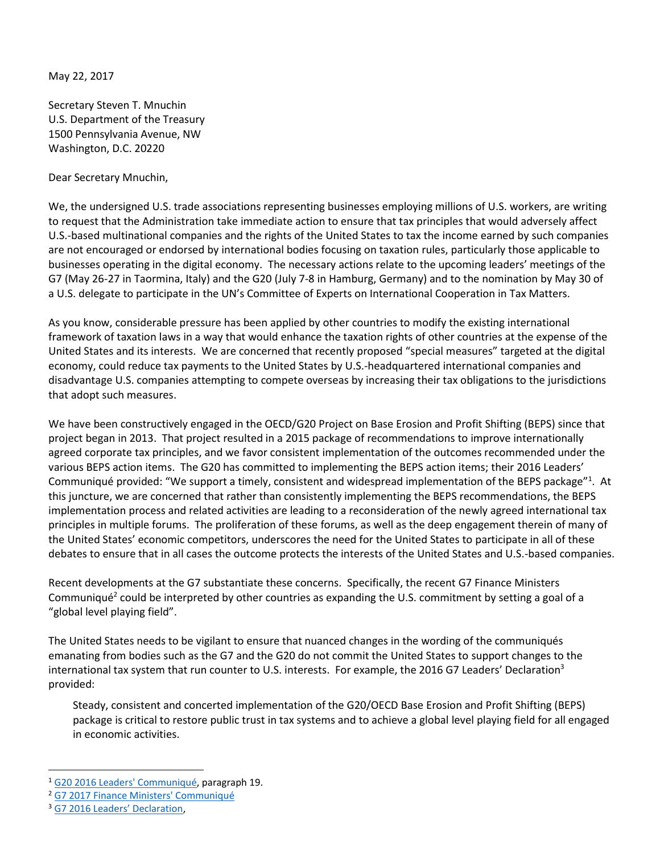May 22, 2017

Secretary Steven T. Mnuchin U.S. Department of the Treasury 1500 Pennsylvania Avenue, NW Washington, D.C. 20220

Dear Secretary Mnuchin,

We, the undersigned U.S. trade associations representing businesses employing millions of U.S. workers, are writing to request that the Administration take immediate action to ensure that tax principles that would adversely affect U.S.-based multinational companies and the rights of the United States to tax the income earned by such companies are not encouraged or endorsed by international bodies focusing on taxation rules, particularly those applicable to businesses operating in the digital economy. The necessary actions relate to the upcoming leaders' meetings of the G7 (May 26-27 in Taormina, Italy) and the G20 (July 7-8 in Hamburg, Germany) and to the nomination by May 30 of a U.S. delegate to participate in the UN's Committee of Experts on International Cooperation in Tax Matters.

As you know, considerable pressure has been applied by other countries to modify the existing international framework of taxation laws in a way that would enhance the taxation rights of other countries at the expense of the United States and its interests. We are concerned that recently proposed "special measures" targeted at the digital economy, could reduce tax payments to the United States by U.S.-headquartered international companies and disadvantage U.S. companies attempting to compete overseas by increasing their tax obligations to the jurisdictions that adopt such measures.

We have been constructively engaged in the OECD/G20 Project on Base Erosion and Profit Shifting (BEPS) since that project began in 2013. That project resulted in a 2015 package of recommendations to improve internationally agreed corporate tax principles, and we favor consistent implementation of the outcomes recommended under the various BEPS action items. The G20 has committed to implementing the BEPS action items; their 2016 Leaders' Communiqué provided: "We support a timely, consistent and widespread implementation of the BEPS package"<sup>1</sup>. At this juncture, we are concerned that rather than consistently implementing the BEPS recommendations, the BEPS implementation process and related activities are leading to a reconsideration of the newly agreed international tax principles in multiple forums. The proliferation of these forums, as well as the deep engagement therein of many of the United States' economic competitors, underscores the need for the United States to participate in all of these debates to ensure that in all cases the outcome protects the interests of the United States and U.S.-based companies.

Recent developments at the G7 substantiate these concerns. Specifically, the recent G7 Finance Ministers Communiqué<sup>2</sup> could be interpreted by other countries as expanding the U.S. commitment by setting a goal of a "global level playing field".

The United States needs to be vigilant to ensure that nuanced changes in the wording of the communiqués emanating from bodies such as the G7 and the G20 do not commit the United States to support changes to the international tax system that run counter to U.S. interests. For example, the 2016 G7 Leaders' Declaration<sup>3</sup> provided:

Steady, consistent and concerted implementation of the G20/OECD Base Erosion and Profit Shifting (BEPS) package is critical to restore public trust in tax systems and to achieve a global level playing field for all engaged in economic activities.

 $\overline{\phantom{a}}$ 

<sup>&</sup>lt;sup>1</sup> [G20 2016 Leaders' Communiqué,](https://www.g20.org/Content/DE/_Anlagen/G7_G20/2016-09-04-g20-kommunique-en.pdf?__blob=publicationFile&v=6) paragraph 19.

<sup>&</sup>lt;sup>2</sup> [G7 2017 Finance Ministers' Communiqué](https://www.mof.go.jp/english/international_policy/convention/g7/g7_170513.htm)

<sup>&</sup>lt;sup>3</sup> [G7 2016 Leaders](https://obamawhitehouse.archives.gov/the-press-office/2016/05/27/g7-ise-shima-leaders-declaration)' Declaration,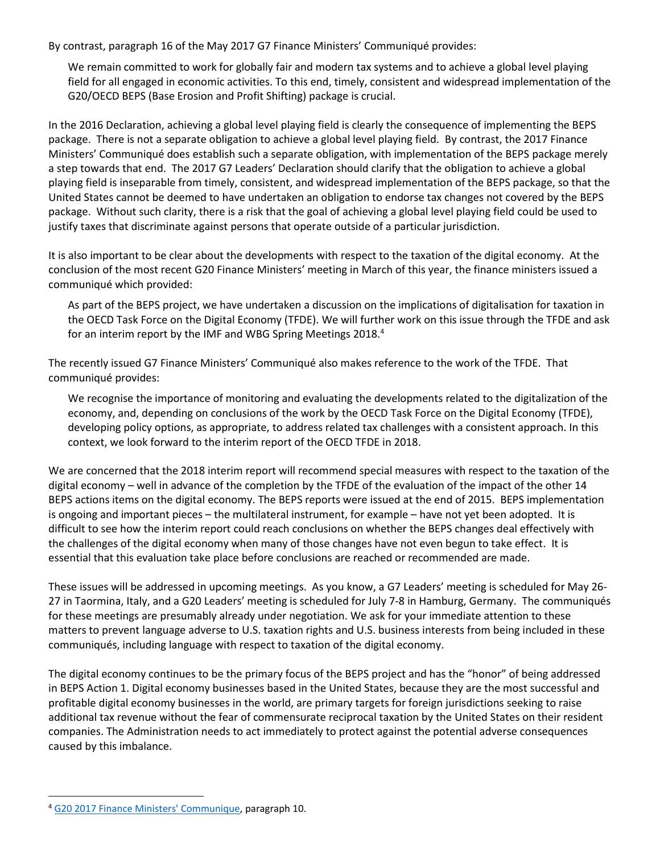By contrast, paragraph 16 of the May 2017 G7 Finance Ministers' Communiqué provides:

We remain committed to work for globally fair and modern tax systems and to achieve a global level playing field for all engaged in economic activities. To this end, timely, consistent and widespread implementation of the G20/OECD BEPS (Base Erosion and Profit Shifting) package is crucial.

In the 2016 Declaration, achieving a global level playing field is clearly the consequence of implementing the BEPS package. There is not a separate obligation to achieve a global level playing field. By contrast, the 2017 Finance Ministers' Communiqué does establish such a separate obligation, with implementation of the BEPS package merely a step towards that end. The 2017 G7 Leaders' Declaration should clarify that the obligation to achieve a global playing field is inseparable from timely, consistent, and widespread implementation of the BEPS package, so that the United States cannot be deemed to have undertaken an obligation to endorse tax changes not covered by the BEPS package. Without such clarity, there is a risk that the goal of achieving a global level playing field could be used to justify taxes that discriminate against persons that operate outside of a particular jurisdiction.

It is also important to be clear about the developments with respect to the taxation of the digital economy. At the conclusion of the most recent G20 Finance Ministers' meeting in March of this year, the finance ministers issued a communiqué which provided:

As part of the BEPS project, we have undertaken a discussion on the implications of digitalisation for taxation in the OECD Task Force on the Digital Economy (TFDE). We will further work on this issue through the TFDE and ask for an interim report by the IMF and WBG Spring Meetings 2018.<sup>4</sup>

The recently issued G7 Finance Ministers' Communiqué also makes reference to the work of the TFDE. That communiqué provides:

We recognise the importance of monitoring and evaluating the developments related to the digitalization of the economy, and, depending on conclusions of the work by the OECD Task Force on the Digital Economy (TFDE), developing policy options, as appropriate, to address related tax challenges with a consistent approach. In this context, we look forward to the interim report of the OECD TFDE in 2018.

We are concerned that the 2018 interim report will recommend special measures with respect to the taxation of the digital economy – well in advance of the completion by the TFDE of the evaluation of the impact of the other 14 BEPS actions items on the digital economy. The BEPS reports were issued at the end of 2015. BEPS implementation is ongoing and important pieces – the multilateral instrument, for example – have not yet been adopted. It is difficult to see how the interim report could reach conclusions on whether the BEPS changes deal effectively with the challenges of the digital economy when many of those changes have not even begun to take effect. It is essential that this evaluation take place before conclusions are reached or recommended are made.

These issues will be addressed in upcoming meetings. As you know, a G7 Leaders' meeting is scheduled for May 26- 27 in Taormina, Italy, and a G20 Leaders' meeting is scheduled for July 7-8 in Hamburg, Germany. The communiqués for these meetings are presumably already under negotiation. We ask for your immediate attention to these matters to prevent language adverse to U.S. taxation rights and U.S. business interests from being included in these communiqués, including language with respect to taxation of the digital economy.

The digital economy continues to be the primary focus of the BEPS project and has the "honor" of being addressed in BEPS Action 1. Digital economy businesses based in the United States, because they are the most successful and profitable digital economy businesses in the world, are primary targets for foreign jurisdictions seeking to raise additional tax revenue without the fear of commensurate reciprocal taxation by the United States on their resident companies. The Administration needs to act immediately to protect against the potential adverse consequences caused by this imbalance.

 $\overline{\phantom{a}}$ 

<sup>4</sup> [G20 2017 Finance Ministers' Communique,](http://www.g20.utoronto.ca/2017/170318-finance-en.html) paragraph 10.